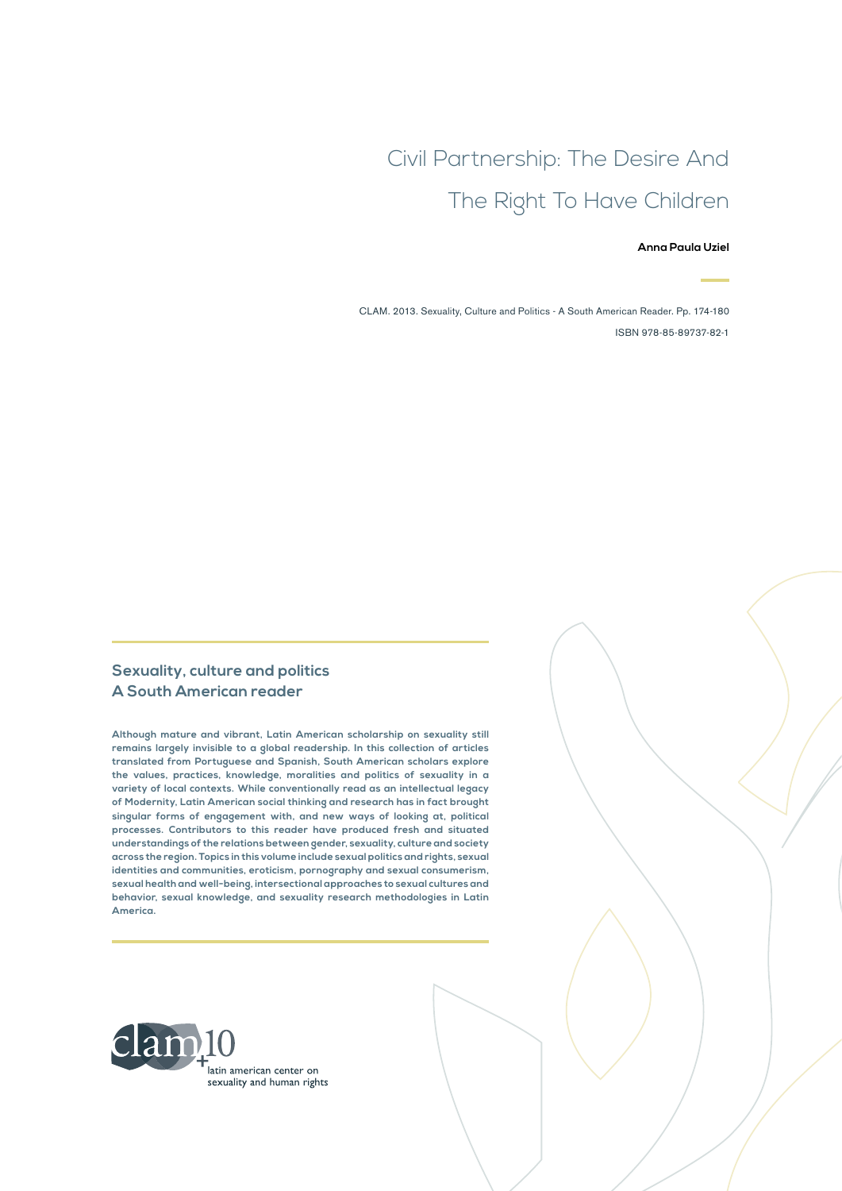# Civil Partnership: The Desire And The Right To Have Children

#### **Anna Paula Uziel**

CLAM. 2013. Sexuality, Culture and Politics - A South American Reader. Pp. 174-180 ISBN 978-85-89737-82-1

### **Sexuality, culture and politics A South American reader**

**Although mature and vibrant, Latin American scholarship on sexuality still remains largely invisible to a global readership. In this collection of articles translated from Portuguese and Spanish, South American scholars explore the values, practices, knowledge, moralities and politics of sexuality in a variety of local contexts. While conventionally read as an intellectual legacy of Modernity, Latin American social thinking and research has in fact brought singular forms of engagement with, and new ways of looking at, political processes. Contributors to this reader have produced fresh and situated understandings of the relations between gender, sexuality, culture and society across the region. Topics in this volume include sexual politics and rights, sexual identities and communities, eroticism, pornography and sexual consumerism, sexual health and well-being, intersectional approaches to sexual cultures and behavior, sexual knowledge, and sexuality research methodologies in Latin America.**

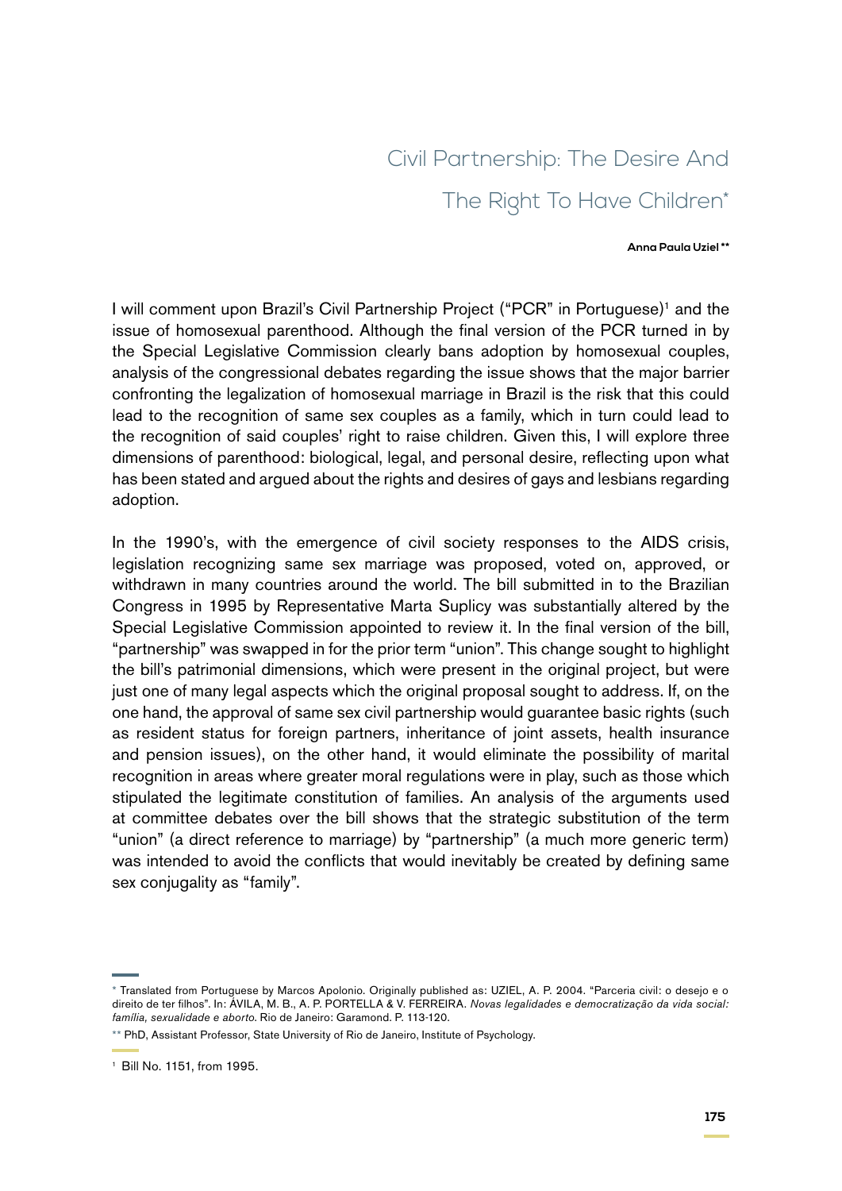# Civil Partnership: The Desire And The Right To Have Children\*

#### **Anna Paula Uziel \*\***

I will comment upon Brazil's Civil Partnership Project ("PCR" in Portuguese)<sup>1</sup> and the issue of homosexual parenthood. Although the final version of the PCR turned in by the Special Legislative Commission clearly bans adoption by homosexual couples, analysis of the congressional debates regarding the issue shows that the major barrier confronting the legalization of homosexual marriage in Brazil is the risk that this could lead to the recognition of same sex couples as a family, which in turn could lead to the recognition of said couples' right to raise children. Given this, I will explore three dimensions of parenthood: biological, legal, and personal desire, reflecting upon what has been stated and argued about the rights and desires of gays and lesbians regarding adoption.

In the 1990's, with the emergence of civil society responses to the AIDS crisis, legislation recognizing same sex marriage was proposed, voted on, approved, or withdrawn in many countries around the world. The bill submitted in to the Brazilian Congress in 1995 by Representative Marta Suplicy was substantially altered by the Special Legislative Commission appointed to review it. In the final version of the bill, "partnership" was swapped in for the prior term "union". This change sought to highlight the bill's patrimonial dimensions, which were present in the original project, but were just one of many legal aspects which the original proposal sought to address. If, on the one hand, the approval of same sex civil partnership would guarantee basic rights (such as resident status for foreign partners, inheritance of joint assets, health insurance and pension issues), on the other hand, it would eliminate the possibility of marital recognition in areas where greater moral regulations were in play, such as those which stipulated the legitimate constitution of families. An analysis of the arguments used at committee debates over the bill shows that the strategic substitution of the term "union" (a direct reference to marriage) by "partnership" (a much more generic term) was intended to avoid the conflicts that would inevitably be created by defining same sex conjugality as "family".

<sup>\*</sup> Translated from Portuguese by Marcos Apolonio. Originally published as: UZIEL, A. P. 2004. "Parceria civil: o desejo e o direito de ter filhos". In: ÁVILA, M. B., A. P. PORTELLA & V. FERREIRA. *Novas legalidades e democratização da vida social: família, sexualidade e aborto*. Rio de Janeiro: Garamond. P. 113-120.

<sup>\*\*</sup> PhD, Assistant Professor, State University of Rio de Janeiro, Institute of Psychology.

<sup>1</sup> Bill No. 1151, from 1995.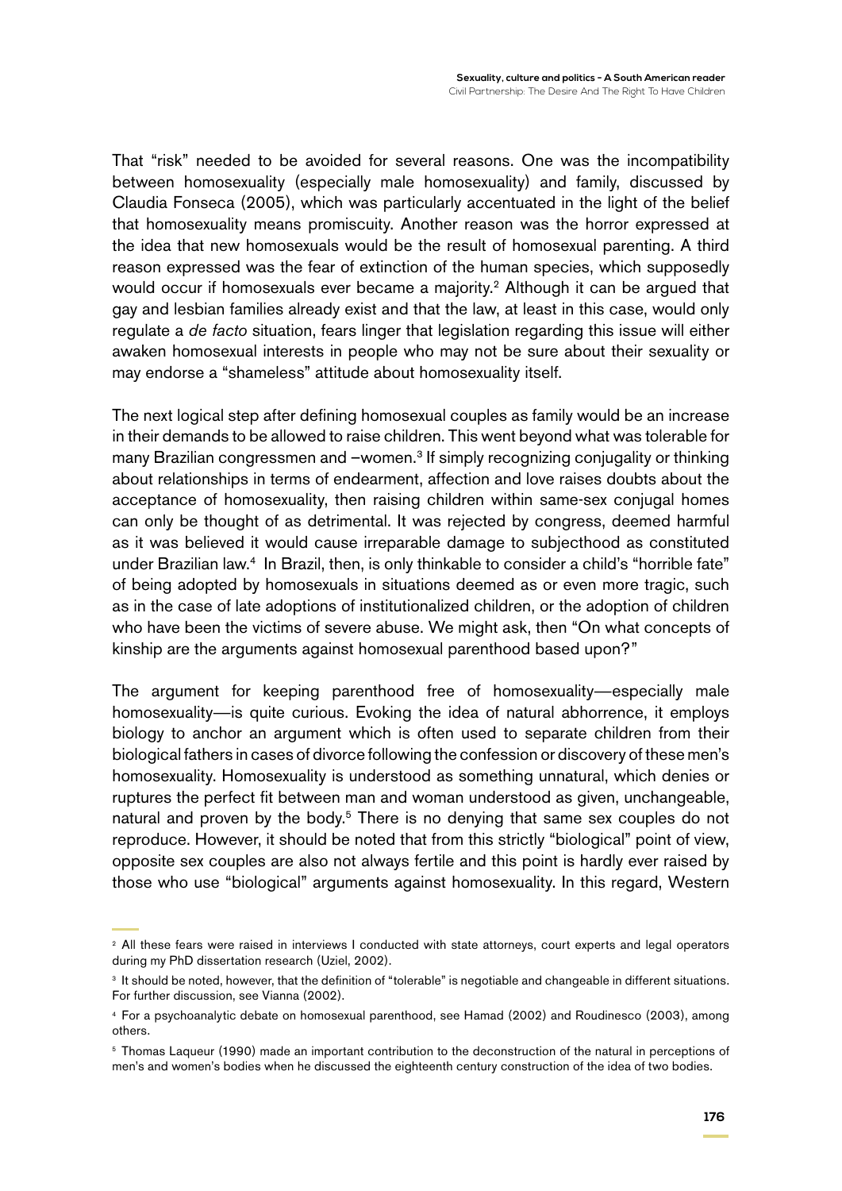That "risk" needed to be avoided for several reasons. One was the incompatibility between homosexuality (especially male homosexuality) and family, discussed by Claudia Fonseca (2005), which was particularly accentuated in the light of the belief that homosexuality means promiscuity. Another reason was the horror expressed at the idea that new homosexuals would be the result of homosexual parenting. A third reason expressed was the fear of extinction of the human species, which supposedly would occur if homosexuals ever became a majority.<sup>2</sup> Although it can be argued that gay and lesbian families already exist and that the law, at least in this case, would only regulate a *de facto* situation, fears linger that legislation regarding this issue will either awaken homosexual interests in people who may not be sure about their sexuality or may endorse a "shameless" attitude about homosexuality itself.

The next logical step after defining homosexual couples as family would be an increase in their demands to be allowed to raise children. This went beyond what was tolerable for many Brazilian congressmen and –women.<sup>3</sup> If simply recognizing conjugality or thinking about relationships in terms of endearment, affection and love raises doubts about the acceptance of homosexuality, then raising children within same-sex conjugal homes can only be thought of as detrimental. It was rejected by congress, deemed harmful as it was believed it would cause irreparable damage to subjecthood as constituted under Brazilian law.4 In Brazil, then, is only thinkable to consider a child's "horrible fate" of being adopted by homosexuals in situations deemed as or even more tragic, such as in the case of late adoptions of institutionalized children, or the adoption of children who have been the victims of severe abuse. We might ask, then "On what concepts of kinship are the arguments against homosexual parenthood based upon?"

The argument for keeping parenthood free of homosexuality—especially male homosexuality—is quite curious. Evoking the idea of natural abhorrence, it employs biology to anchor an argument which is often used to separate children from their biological fathers in cases of divorce following the confession or discovery of these men's homosexuality. Homosexuality is understood as something unnatural, which denies or ruptures the perfect fit between man and woman understood as given, unchangeable, natural and proven by the body.<sup>5</sup> There is no denying that same sex couples do not reproduce. However, it should be noted that from this strictly "biological" point of view, opposite sex couples are also not always fertile and this point is hardly ever raised by those who use "biological" arguments against homosexuality. In this regard, Western

<sup>&</sup>lt;sup>2</sup> All these fears were raised in interviews I conducted with state attorneys, court experts and legal operators during my PhD dissertation research (Uziel, 2002).

<sup>&</sup>lt;sup>3</sup> It should be noted, however, that the definition of "tolerable" is negotiable and changeable in different situations. For further discussion, see Vianna (2002).

<sup>4</sup> For a psychoanalytic debate on homosexual parenthood, see Hamad (2002) and Roudinesco (2003), among others.

<sup>5</sup> Thomas Laqueur (1990) made an important contribution to the deconstruction of the natural in perceptions of men's and women's bodies when he discussed the eighteenth century construction of the idea of two bodies.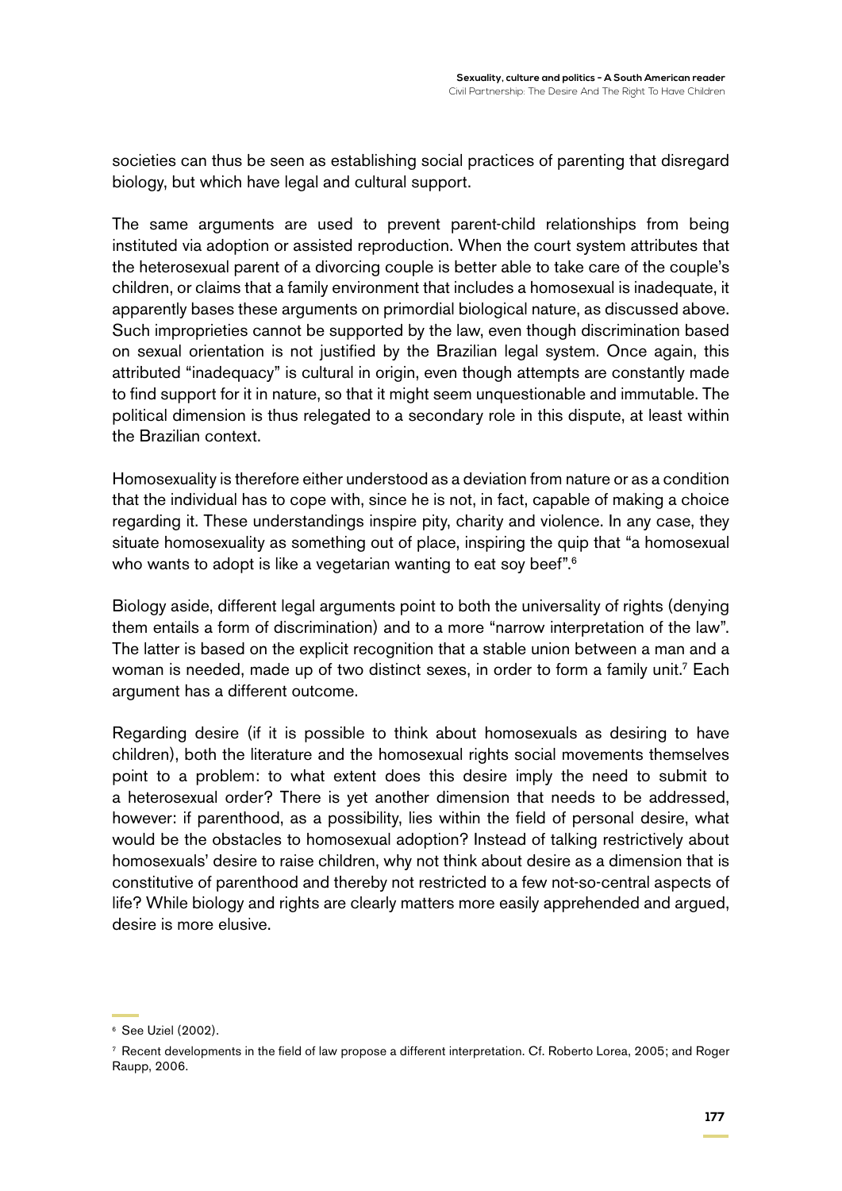societies can thus be seen as establishing social practices of parenting that disregard biology, but which have legal and cultural support.

The same arguments are used to prevent parent-child relationships from being instituted via adoption or assisted reproduction. When the court system attributes that the heterosexual parent of a divorcing couple is better able to take care of the couple's children, or claims that a family environment that includes a homosexual is inadequate, it apparently bases these arguments on primordial biological nature, as discussed above. Such improprieties cannot be supported by the law, even though discrimination based on sexual orientation is not justified by the Brazilian legal system. Once again, this attributed "inadequacy" is cultural in origin, even though attempts are constantly made to find support for it in nature, so that it might seem unquestionable and immutable. The political dimension is thus relegated to a secondary role in this dispute, at least within the Brazilian context.

Homosexuality is therefore either understood as a deviation from nature or as a condition that the individual has to cope with, since he is not, in fact, capable of making a choice regarding it. These understandings inspire pity, charity and violence. In any case, they situate homosexuality as something out of place, inspiring the quip that "a homosexual who wants to adopt is like a vegetarian wanting to eat soy beef".<sup>6</sup>

Biology aside, different legal arguments point to both the universality of rights (denying them entails a form of discrimination) and to a more "narrow interpretation of the law". The latter is based on the explicit recognition that a stable union between a man and a woman is needed, made up of two distinct sexes, in order to form a family unit.7 Each argument has a different outcome.

Regarding desire (if it is possible to think about homosexuals as desiring to have children), both the literature and the homosexual rights social movements themselves point to a problem: to what extent does this desire imply the need to submit to a heterosexual order? There is yet another dimension that needs to be addressed, however: if parenthood, as a possibility, lies within the field of personal desire, what would be the obstacles to homosexual adoption? Instead of talking restrictively about homosexuals' desire to raise children, why not think about desire as a dimension that is constitutive of parenthood and thereby not restricted to a few not-so-central aspects of life? While biology and rights are clearly matters more easily apprehended and argued, desire is more elusive.

<sup>6</sup> See Uziel (2002).

<sup>7</sup> Recent developments in the field of law propose a different interpretation. Cf. Roberto Lorea, 2005; and Roger Raupp, 2006.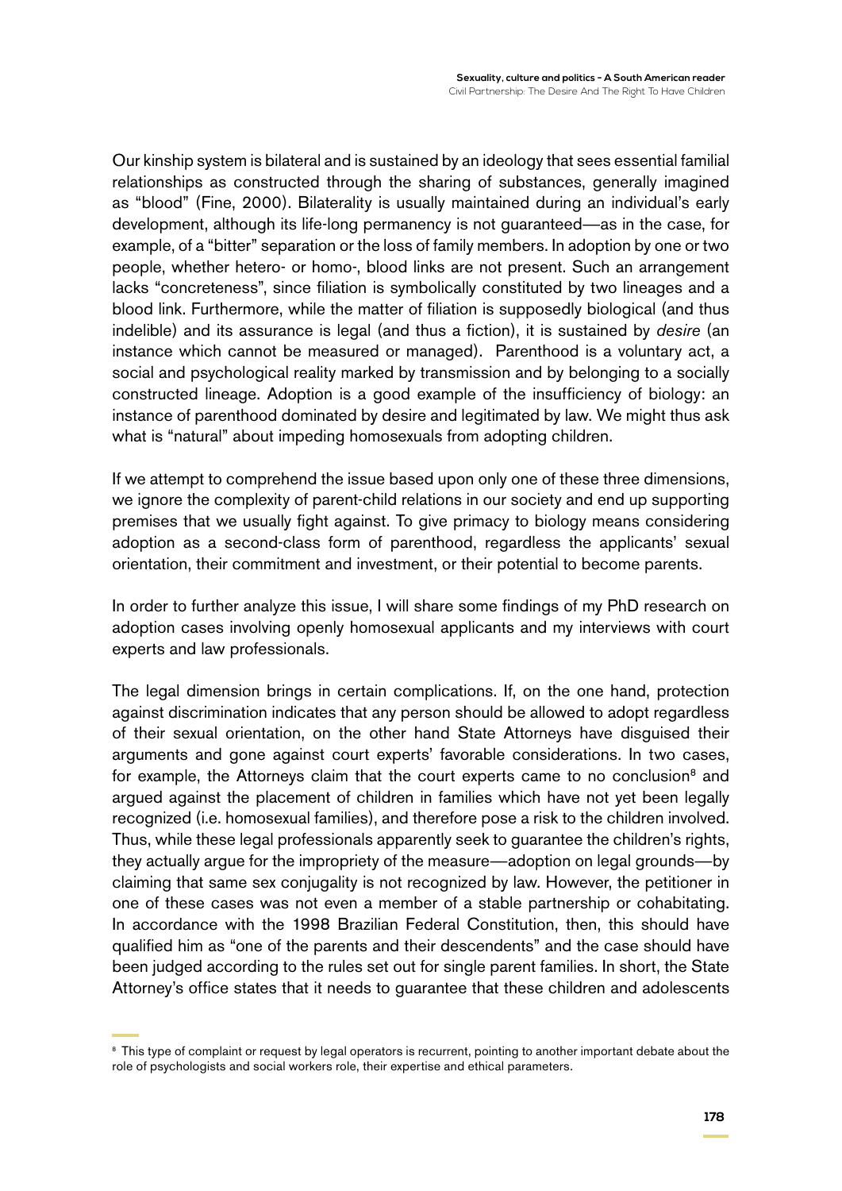Our kinship system is bilateral and is sustained by an ideology that sees essential familial relationships as constructed through the sharing of substances, generally imagined as "blood" (Fine, 2000). Bilaterality is usually maintained during an individual's early development, although its life-long permanency is not guaranteed—as in the case, for example, of a "bitter" separation or the loss of family members. In adoption by one or two people, whether hetero- or homo-, blood links are not present. Such an arrangement lacks "concreteness", since filiation is symbolically constituted by two lineages and a blood link. Furthermore, while the matter of filiation is supposedly biological (and thus indelible) and its assurance is legal (and thus a fiction), it is sustained by *desire* (an instance which cannot be measured or managed). Parenthood is a voluntary act, a social and psychological reality marked by transmission and by belonging to a socially constructed lineage. Adoption is a good example of the insufficiency of biology: an instance of parenthood dominated by desire and legitimated by law. We might thus ask what is "natural" about impeding homosexuals from adopting children.

If we attempt to comprehend the issue based upon only one of these three dimensions, we ignore the complexity of parent-child relations in our society and end up supporting premises that we usually fight against. To give primacy to biology means considering adoption as a second-class form of parenthood, regardless the applicants' sexual orientation, their commitment and investment, or their potential to become parents.

In order to further analyze this issue, I will share some findings of my PhD research on adoption cases involving openly homosexual applicants and my interviews with court experts and law professionals.

The legal dimension brings in certain complications. If, on the one hand, protection against discrimination indicates that any person should be allowed to adopt regardless of their sexual orientation, on the other hand State Attorneys have disguised their arguments and gone against court experts' favorable considerations. In two cases, for example, the Attorneys claim that the court experts came to no conclusion<sup>8</sup> and argued against the placement of children in families which have not yet been legally recognized (i.e. homosexual families), and therefore pose a risk to the children involved. Thus, while these legal professionals apparently seek to guarantee the children's rights, they actually argue for the impropriety of the measure—adoption on legal grounds—by claiming that same sex conjugality is not recognized by law. However, the petitioner in one of these cases was not even a member of a stable partnership or cohabitating. In accordance with the 1998 Brazilian Federal Constitution, then, this should have qualified him as "one of the parents and their descendents" and the case should have been judged according to the rules set out for single parent families. In short, the State Attorney's office states that it needs to guarantee that these children and adolescents

<sup>&</sup>lt;sup>8</sup> This type of complaint or request by legal operators is recurrent, pointing to another important debate about the role of psychologists and social workers role, their expertise and ethical parameters.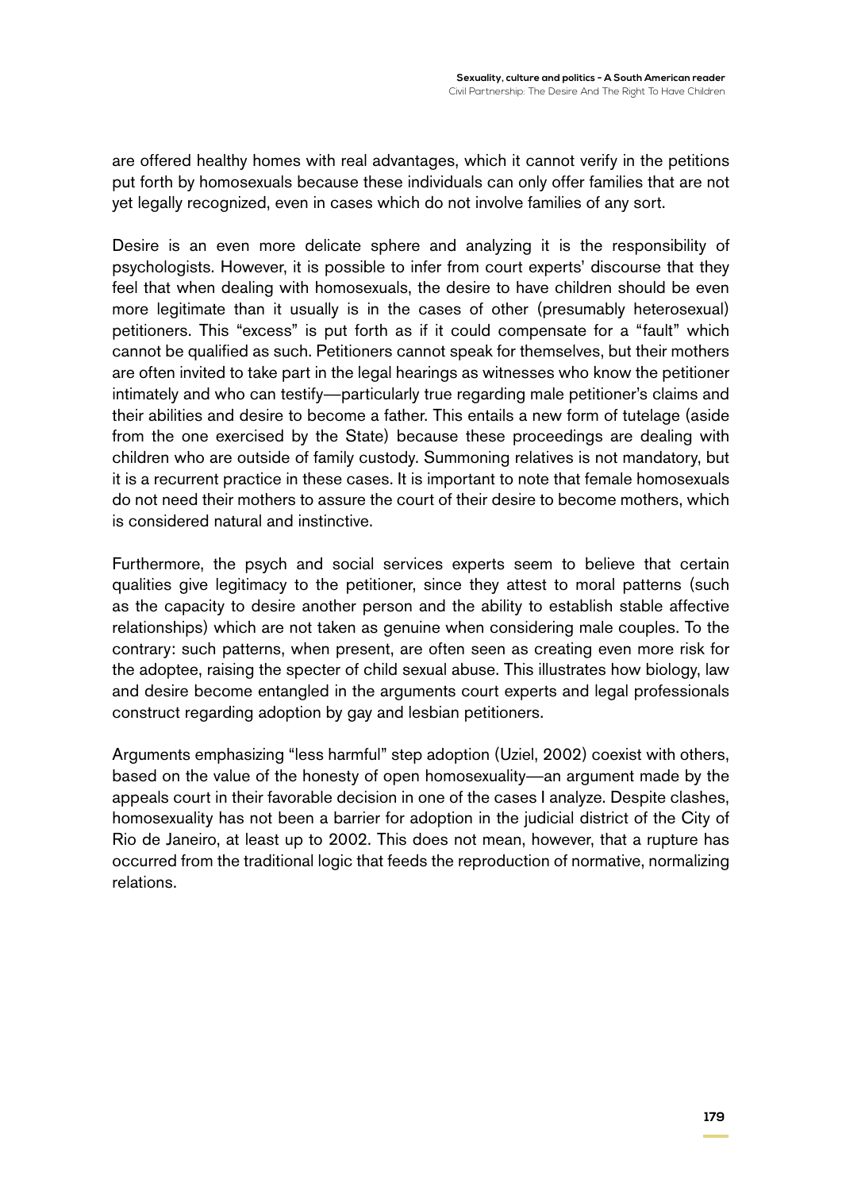are offered healthy homes with real advantages, which it cannot verify in the petitions put forth by homosexuals because these individuals can only offer families that are not yet legally recognized, even in cases which do not involve families of any sort.

Desire is an even more delicate sphere and analyzing it is the responsibility of psychologists. However, it is possible to infer from court experts' discourse that they feel that when dealing with homosexuals, the desire to have children should be even more legitimate than it usually is in the cases of other (presumably heterosexual) petitioners. This "excess" is put forth as if it could compensate for a "fault" which cannot be qualified as such. Petitioners cannot speak for themselves, but their mothers are often invited to take part in the legal hearings as witnesses who know the petitioner intimately and who can testify—particularly true regarding male petitioner's claims and their abilities and desire to become a father. This entails a new form of tutelage (aside from the one exercised by the State) because these proceedings are dealing with children who are outside of family custody. Summoning relatives is not mandatory, but it is a recurrent practice in these cases. It is important to note that female homosexuals do not need their mothers to assure the court of their desire to become mothers, which is considered natural and instinctive.

Furthermore, the psych and social services experts seem to believe that certain qualities give legitimacy to the petitioner, since they attest to moral patterns (such as the capacity to desire another person and the ability to establish stable affective relationships) which are not taken as genuine when considering male couples. To the contrary: such patterns, when present, are often seen as creating even more risk for the adoptee, raising the specter of child sexual abuse. This illustrates how biology, law and desire become entangled in the arguments court experts and legal professionals construct regarding adoption by gay and lesbian petitioners.

Arguments emphasizing "less harmful" step adoption (Uziel, 2002) coexist with others, based on the value of the honesty of open homosexuality—an argument made by the appeals court in their favorable decision in one of the cases I analyze. Despite clashes, homosexuality has not been a barrier for adoption in the judicial district of the City of Rio de Janeiro, at least up to 2002. This does not mean, however, that a rupture has occurred from the traditional logic that feeds the reproduction of normative, normalizing relations.